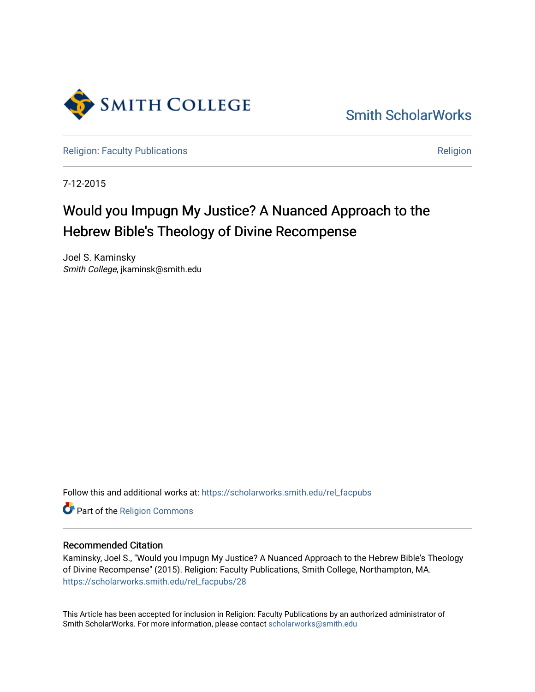

[Smith ScholarWorks](https://scholarworks.smith.edu/) 

[Religion: Faculty Publications](https://scholarworks.smith.edu/rel_facpubs) **Religion** Religion

7-12-2015

# Would you Impugn My Justice? A Nuanced Approach to the Hebrew Bible's Theology of Divine Recompense

Joel S. Kaminsky Smith College, jkaminsk@smith.edu

Follow this and additional works at: [https://scholarworks.smith.edu/rel\\_facpubs](https://scholarworks.smith.edu/rel_facpubs?utm_source=scholarworks.smith.edu%2Frel_facpubs%2F28&utm_medium=PDF&utm_campaign=PDFCoverPages) 

Part of the [Religion Commons](http://network.bepress.com/hgg/discipline/538?utm_source=scholarworks.smith.edu%2Frel_facpubs%2F28&utm_medium=PDF&utm_campaign=PDFCoverPages)

## Recommended Citation

Kaminsky, Joel S., "Would you Impugn My Justice? A Nuanced Approach to the Hebrew Bible's Theology of Divine Recompense" (2015). Religion: Faculty Publications, Smith College, Northampton, MA. [https://scholarworks.smith.edu/rel\\_facpubs/28](https://scholarworks.smith.edu/rel_facpubs/28?utm_source=scholarworks.smith.edu%2Frel_facpubs%2F28&utm_medium=PDF&utm_campaign=PDFCoverPages) 

This Article has been accepted for inclusion in Religion: Faculty Publications by an authorized administrator of Smith ScholarWorks. For more information, please contact [scholarworks@smith.edu](mailto:scholarworks@smith.edu)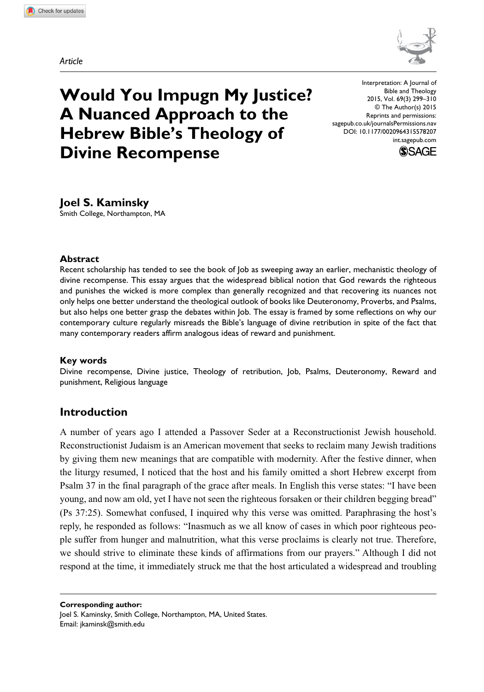

# **Would You Impugn My Justice? A Nuanced Approach to the Hebrew Bible's Theology of Divine Recompense**

Interpretation: A Journal of Bible and Theology 2015, Vol. 69(3) 299–310 © The Author(s) 2015 Reprints and permissions: sagepub.co.uk/journalsPermissions.nav DOI: 10.1177/0020964315578207 int.sagepub.com



**Joel S. Kaminsky**

Smith College, Northampton, MA

#### **Abstract**

Recent scholarship has tended to see the book of Job as sweeping away an earlier, mechanistic theology of divine recompense. This essay argues that the widespread biblical notion that God rewards the righteous and punishes the wicked is more complex than generally recognized and that recovering its nuances not only helps one better understand the theological outlook of books like Deuteronomy, Proverbs, and Psalms, but also helps one better grasp the debates within Job. The essay is framed by some reflections on why our contemporary culture regularly misreads the Bible's language of divine retribution in spite of the fact that many contemporary readers affirm analogous ideas of reward and punishment.

#### **Key words**

Divine recompense, Divine justice, Theology of retribution, Job, Psalms, Deuteronomy, Reward and punishment, Religious language

### **Introduction**

A number of years ago I attended a Passover Seder at a Reconstructionist Jewish household. Reconstructionist Judaism is an American movement that seeks to reclaim many Jewish traditions by giving them new meanings that are compatible with modernity. After the festive dinner, when the liturgy resumed, I noticed that the host and his family omitted a short Hebrew excerpt from Psalm 37 in the final paragraph of the grace after meals. In English this verse states: "I have been young, and now am old, yet I have not seen the righteous forsaken or their children begging bread" (Ps 37:25). Somewhat confused, I inquired why this verse was omitted. Paraphrasing the host's reply, he responded as follows: "Inasmuch as we all know of cases in which poor righteous people suffer from hunger and malnutrition, what this verse proclaims is clearly not true. Therefore, we should strive to eliminate these kinds of affirmations from our prayers." Although I did not respond at the time, it immediately struck me that the host articulated a widespread and troubling

**Corresponding author:**  Joel S. Kaminsky, Smith College, Northampton, MA, United States. Email: [jkaminsk@smith.edu](mailto:jkaminsk@smith.edu)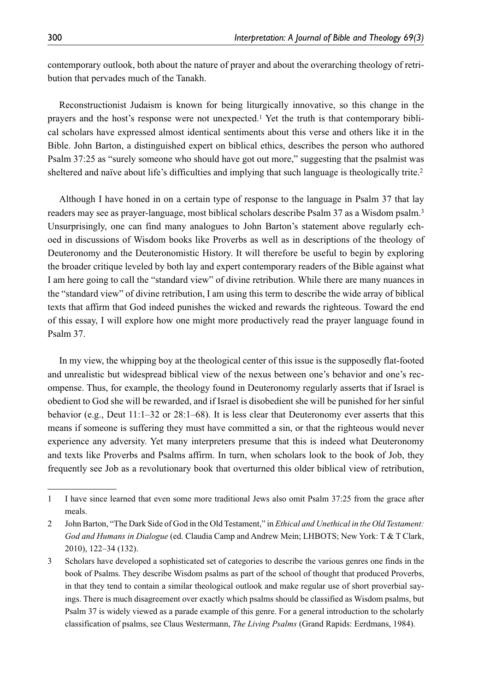contemporary outlook, both about the nature of prayer and about the overarching theology of retribution that pervades much of the Tanakh.

Reconstructionist Judaism is known for being liturgically innovative, so this change in the prayers and the host's response were not unexpected.<sup>1</sup> Yet the truth is that contemporary biblical scholars have expressed almost identical sentiments about this verse and others like it in the Bible. John Barton, a distinguished expert on biblical ethics, describes the person who authored Psalm 37:25 as "surely someone who should have got out more," suggesting that the psalmist was sheltered and naïve about life's difficulties and implying that such language is theologically trite.2

Although I have honed in on a certain type of response to the language in Psalm 37 that lay readers may see as prayer-language, most biblical scholars describe Psalm 37 as a Wisdom psalm.3 Unsurprisingly, one can find many analogues to John Barton's statement above regularly echoed in discussions of Wisdom books like Proverbs as well as in descriptions of the theology of Deuteronomy and the Deuteronomistic History. It will therefore be useful to begin by exploring the broader critique leveled by both lay and expert contemporary readers of the Bible against what I am here going to call the "standard view" of divine retribution. While there are many nuances in the "standard view" of divine retribution, I am using this term to describe the wide array of biblical texts that affirm that God indeed punishes the wicked and rewards the righteous. Toward the end of this essay, I will explore how one might more productively read the prayer language found in Psalm 37.

In my view, the whipping boy at the theological center of this issue is the supposedly flat-footed and unrealistic but widespread biblical view of the nexus between one's behavior and one's recompense. Thus, for example, the theology found in Deuteronomy regularly asserts that if Israel is obedient to God she will be rewarded, and if Israel is disobedient she will be punished for her sinful behavior (e.g., Deut 11:1–32 or 28:1–68). It is less clear that Deuteronomy ever asserts that this means if someone is suffering they must have committed a sin, or that the righteous would never experience any adversity. Yet many interpreters presume that this is indeed what Deuteronomy and texts like Proverbs and Psalms affirm. In turn, when scholars look to the book of Job, they frequently see Job as a revolutionary book that overturned this older biblical view of retribution,

<sup>1</sup> I have since learned that even some more traditional Jews also omit Psalm 37:25 from the grace after meals.

<sup>2</sup> John Barton, "The Dark Side of God in the Old Testament," in *Ethical and Unethical in the Old Testament: God and Humans in Dialogue* (ed. Claudia Camp and Andrew Mein; LHBOTS; New York: T & T Clark, 2010), 122–34 (132).

<sup>3</sup> Scholars have developed a sophisticated set of categories to describe the various genres one finds in the book of Psalms. They describe Wisdom psalms as part of the school of thought that produced Proverbs, in that they tend to contain a similar theological outlook and make regular use of short proverbial sayings. There is much disagreement over exactly which psalms should be classified as Wisdom psalms, but Psalm 37 is widely viewed as a parade example of this genre. For a general introduction to the scholarly classification of psalms, see Claus Westermann, *The Living Psalms* (Grand Rapids: Eerdmans, 1984).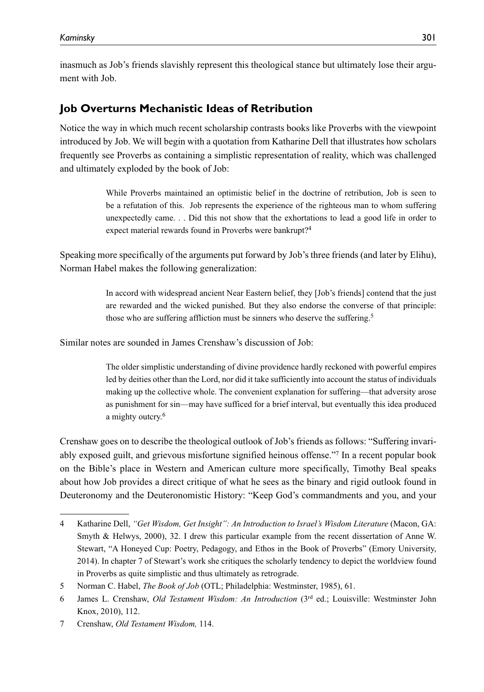inasmuch as Job's friends slavishly represent this theological stance but ultimately lose their argument with Job.

## **Job Overturns Mechanistic Ideas of Retribution**

Notice the way in which much recent scholarship contrasts books like Proverbs with the viewpoint introduced by Job. We will begin with a quotation from Katharine Dell that illustrates how scholars frequently see Proverbs as containing a simplistic representation of reality, which was challenged and ultimately exploded by the book of Job:

> While Proverbs maintained an optimistic belief in the doctrine of retribution, Job is seen to be a refutation of this. Job represents the experience of the righteous man to whom suffering unexpectedly came. . . Did this not show that the exhortations to lead a good life in order to expect material rewards found in Proverbs were bankrupt?4

Speaking more specifically of the arguments put forward by Job's three friends (and later by Elihu), Norman Habel makes the following generalization:

> In accord with widespread ancient Near Eastern belief, they [Job's friends] contend that the just are rewarded and the wicked punished. But they also endorse the converse of that principle: those who are suffering affliction must be sinners who deserve the suffering.<sup>5</sup>

Similar notes are sounded in James Crenshaw's discussion of Job:

The older simplistic understanding of divine providence hardly reckoned with powerful empires led by deities other than the Lord, nor did it take sufficiently into account the status of individuals making up the collective whole. The convenient explanation for suffering—that adversity arose as punishment for sin—may have sufficed for a brief interval, but eventually this idea produced a mighty outcry.<sup>6</sup>

Crenshaw goes on to describe the theological outlook of Job's friends as follows: "Suffering invariably exposed guilt, and grievous misfortune signified heinous offense."7 In a recent popular book on the Bible's place in Western and American culture more specifically, Timothy Beal speaks about how Job provides a direct critique of what he sees as the binary and rigid outlook found in Deuteronomy and the Deuteronomistic History: "Keep God's commandments and you, and your

<sup>4</sup> Katharine Dell, *"Get Wisdom, Get Insight": An Introduction to Israel's Wisdom Literature* (Macon, GA: Smyth & Helwys, 2000), 32. I drew this particular example from the recent dissertation of Anne W. Stewart, "A Honeyed Cup: Poetry, Pedagogy, and Ethos in the Book of Proverbs" (Emory University, 2014). In chapter 7 of Stewart's work she critiques the scholarly tendency to depict the worldview found in Proverbs as quite simplistic and thus ultimately as retrograde.

<sup>5</sup> Norman C. Habel, *The Book of Job* (OTL; Philadelphia: Westminster, 1985), 61.

<sup>6</sup> James L. Crenshaw, *Old Testament Wisdom: An Introduction* (3rd ed.; Louisville: Westminster John Knox, 2010), 112.

<sup>7</sup> Crenshaw, *Old Testament Wisdom,* 114.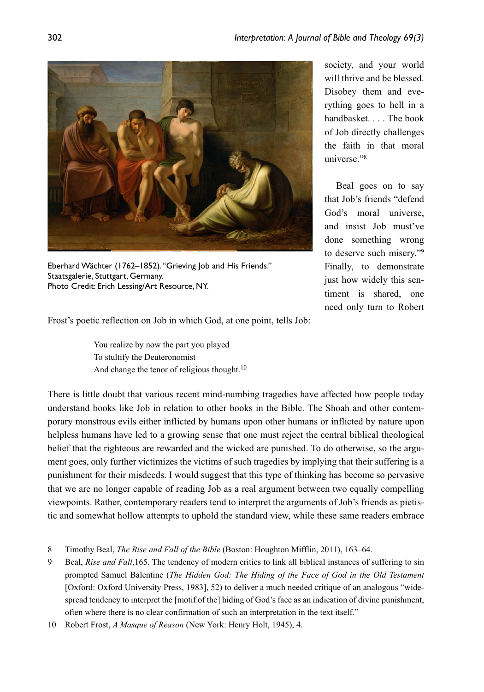

Eberhard Wächter (1762–1852). "Grieving Job and His Friends." Staatsgalerie, Stuttgart, Germany. Photo Credit: Erich Lessing/Art Resource, NY.

society, and your world will thrive and be blessed. Disobey them and everything goes to hell in a handbasket. . . . The book of Job directly challenges the faith in that moral universe."8

Beal goes on to say that Job's friends "defend God's moral universe, and insist Job must've done something wrong to deserve such misery."9 Finally, to demonstrate just how widely this sentiment is shared, one need only turn to Robert

Frost's poetic reflection on Job in which God, at one point, tells Job:

You realize by now the part you played To stultify the Deuteronomist And change the tenor of religious thought.<sup>10</sup>

There is little doubt that various recent mind-numbing tragedies have affected how people today understand books like Job in relation to other books in the Bible. The Shoah and other contemporary monstrous evils either inflicted by humans upon other humans or inflicted by nature upon helpless humans have led to a growing sense that one must reject the central biblical theological belief that the righteous are rewarded and the wicked are punished. To do otherwise, so the argument goes, only further victimizes the victims of such tragedies by implying that their suffering is a punishment for their misdeeds. I would suggest that this type of thinking has become so pervasive that we are no longer capable of reading Job as a real argument between two equally compelling viewpoints. Rather, contemporary readers tend to interpret the arguments of Job's friends as pietistic and somewhat hollow attempts to uphold the standard view, while these same readers embrace

<sup>8</sup> Timothy Beal, *The Rise and Fall of the Bible* (Boston: Houghton Mifflin, 2011), 163–64.

<sup>9</sup> Beal, *Rise and Fall*,165. The tendency of modern critics to link all biblical instances of suffering to sin prompted Samuel Balentine (*The Hidden God: The Hiding of the Face of God in the Old Testament*  [Oxford: Oxford University Press, 1983], 52) to deliver a much needed critique of an analogous "widespread tendency to interpret the [motif of the] hiding of God's face as an indication of divine punishment, often where there is no clear confirmation of such an interpretation in the text itself."

<sup>10</sup> Robert Frost, *A Masque of Reason* (New York: Henry Holt, 1945), 4.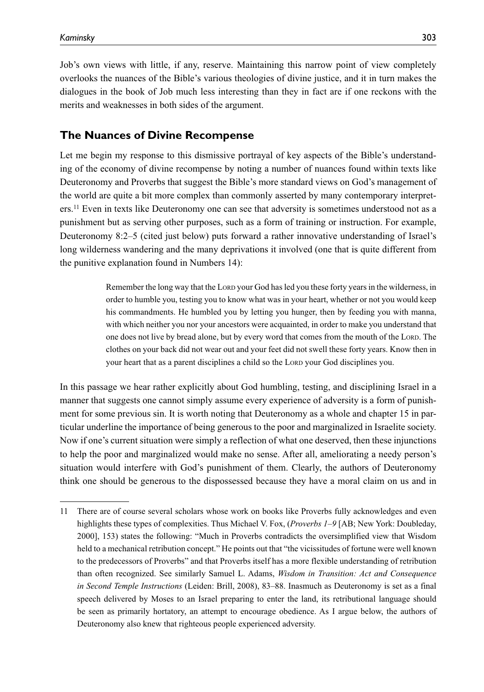Job's own views with little, if any, reserve. Maintaining this narrow point of view completely overlooks the nuances of the Bible's various theologies of divine justice, and it in turn makes the dialogues in the book of Job much less interesting than they in fact are if one reckons with the merits and weaknesses in both sides of the argument.

### **The Nuances of Divine Recompense**

Let me begin my response to this dismissive portrayal of key aspects of the Bible's understanding of the economy of divine recompense by noting a number of nuances found within texts like Deuteronomy and Proverbs that suggest the Bible's more standard views on God's management of the world are quite a bit more complex than commonly asserted by many contemporary interpreters.<sup>11</sup> Even in texts like Deuteronomy one can see that adversity is sometimes understood not as a punishment but as serving other purposes, such as a form of training or instruction. For example, Deuteronomy 8:2–5 (cited just below) puts forward a rather innovative understanding of Israel's long wilderness wandering and the many deprivations it involved (one that is quite different from the punitive explanation found in Numbers 14):

> Remember the long way that the Lord your God has led you these forty years in the wilderness, in order to humble you, testing you to know what was in your heart, whether or not you would keep his commandments. He humbled you by letting you hunger, then by feeding you with manna, with which neither you nor your ancestors were acquainted, in order to make you understand that one does not live by bread alone, but by every word that comes from the mouth of the LORD. The clothes on your back did not wear out and your feet did not swell these forty years. Know then in your heart that as a parent disciplines a child so the Lord your God disciplines you.

In this passage we hear rather explicitly about God humbling, testing, and disciplining Israel in a manner that suggests one cannot simply assume every experience of adversity is a form of punishment for some previous sin. It is worth noting that Deuteronomy as a whole and chapter 15 in particular underline the importance of being generous to the poor and marginalized in Israelite society. Now if one's current situation were simply a reflection of what one deserved, then these injunctions to help the poor and marginalized would make no sense. After all, ameliorating a needy person's situation would interfere with God's punishment of them. Clearly, the authors of Deuteronomy think one should be generous to the dispossessed because they have a moral claim on us and in

<sup>11</sup> There are of course several scholars whose work on books like Proverbs fully acknowledges and even highlights these types of complexities. Thus Michael V. Fox, (*Proverbs 1–9* [AB; New York: Doubleday, 2000], 153) states the following: "Much in Proverbs contradicts the oversimplified view that Wisdom held to a mechanical retribution concept." He points out that "the vicissitudes of fortune were well known to the predecessors of Proverbs" and that Proverbs itself has a more flexible understanding of retribution than often recognized. See similarly Samuel L. Adams, *Wisdom in Transition: Act and Consequence in Second Temple Instructions* (Leiden: Brill, 2008), 83–88. Inasmuch as Deuteronomy is set as a final speech delivered by Moses to an Israel preparing to enter the land, its retributional language should be seen as primarily hortatory, an attempt to encourage obedience. As I argue below, the authors of Deuteronomy also knew that righteous people experienced adversity.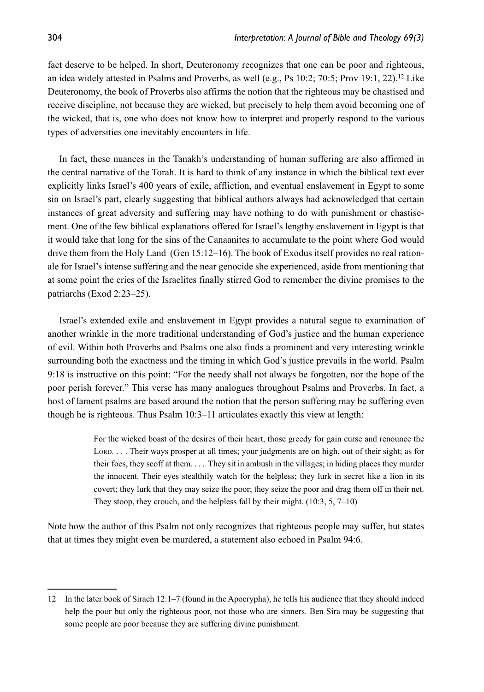fact deserve to be helped. In short, Deuteronomy recognizes that one can be poor and righteous, an idea widely attested in Psalms and Proverbs, as well (e.g., Ps 10:2; 70:5; Prov 19:1, 22).12 Like Deuteronomy, the book of Proverbs also affirms the notion that the righteous may be chastised and receive discipline, not because they are wicked, but precisely to help them avoid becoming one of the wicked, that is, one who does not know how to interpret and properly respond to the various types of adversities one inevitably encounters in life.

In fact, these nuances in the Tanakh's understanding of human suffering are also affirmed in the central narrative of the Torah. It is hard to think of any instance in which the biblical text ever explicitly links Israel's 400 years of exile, affliction, and eventual enslavement in Egypt to some sin on Israel's part, clearly suggesting that biblical authors always had acknowledged that certain instances of great adversity and suffering may have nothing to do with punishment or chastisement. One of the few biblical explanations offered for Israel's lengthy enslavement in Egypt is that it would take that long for the sins of the Canaanites to accumulate to the point where God would drive them from the Holy Land (Gen 15:12–16). The book of Exodus itself provides no real rationale for Israel's intense suffering and the near genocide she experienced, aside from mentioning that at some point the cries of the Israelites finally stirred God to remember the divine promises to the patriarchs (Exod 2:23–25).

Israel's extended exile and enslavement in Egypt provides a natural segue to examination of another wrinkle in the more traditional understanding of God's justice and the human experience of evil. Within both Proverbs and Psalms one also finds a prominent and very interesting wrinkle surrounding both the exactness and the timing in which God's justice prevails in the world. Psalm 9:18 is instructive on this point: "For the needy shall not always be forgotten, nor the hope of the poor perish forever." This verse has many analogues throughout Psalms and Proverbs. In fact, a host of lament psalms are based around the notion that the person suffering may be suffering even though he is righteous. Thus Psalm 10:3–11 articulates exactly this view at length:

> For the wicked boast of the desires of their heart, those greedy for gain curse and renounce the LORD. . . . Their ways prosper at all times; your judgments are on high, out of their sight; as for their foes, they scoff at them. . . . They sit in ambush in the villages; in hiding places they murder the innocent. Their eyes stealthily watch for the helpless; they lurk in secret like a lion in its covert; they lurk that they may seize the poor; they seize the poor and drag them off in their net. They stoop, they crouch, and the helpless fall by their might. (10:3, 5, 7–10)

Note how the author of this Psalm not only recognizes that righteous people may suffer, but states that at times they might even be murdered, a statement also echoed in Psalm 94:6.

<sup>12</sup> In the later book of Sirach 12:1–7 (found in the Apocrypha), he tells his audience that they should indeed help the poor but only the righteous poor, not those who are sinners. Ben Sira may be suggesting that some people are poor because they are suffering divine punishment.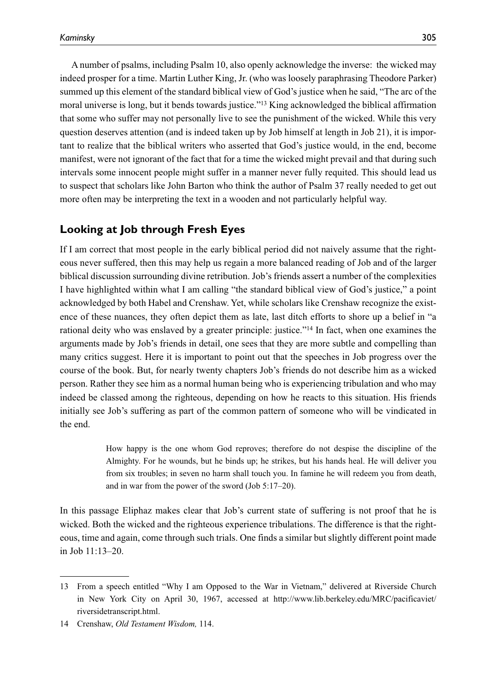A number of psalms, including Psalm 10, also openly acknowledge the inverse: the wicked may indeed prosper for a time. Martin Luther King, Jr. (who was loosely paraphrasing Theodore Parker) summed up this element of the standard biblical view of God's justice when he said, "The arc of the moral universe is long, but it bends towards justice."<sup>13</sup> King acknowledged the biblical affirmation that some who suffer may not personally live to see the punishment of the wicked. While this very question deserves attention (and is indeed taken up by Job himself at length in Job 21), it is important to realize that the biblical writers who asserted that God's justice would, in the end, become manifest, were not ignorant of the fact that for a time the wicked might prevail and that during such intervals some innocent people might suffer in a manner never fully requited. This should lead us to suspect that scholars like John Barton who think the author of Psalm 37 really needed to get out more often may be interpreting the text in a wooden and not particularly helpful way.

### **Looking at Job through Fresh Eyes**

If I am correct that most people in the early biblical period did not naively assume that the righteous never suffered, then this may help us regain a more balanced reading of Job and of the larger biblical discussion surrounding divine retribution. Job's friends assert a number of the complexities I have highlighted within what I am calling "the standard biblical view of God's justice," a point acknowledged by both Habel and Crenshaw. Yet, while scholars like Crenshaw recognize the existence of these nuances, they often depict them as late, last ditch efforts to shore up a belief in "a rational deity who was enslaved by a greater principle: justice."14 In fact, when one examines the arguments made by Job's friends in detail, one sees that they are more subtle and compelling than many critics suggest. Here it is important to point out that the speeches in Job progress over the course of the book. But, for nearly twenty chapters Job's friends do not describe him as a wicked person. Rather they see him as a normal human being who is experiencing tribulation and who may indeed be classed among the righteous, depending on how he reacts to this situation. His friends initially see Job's suffering as part of the common pattern of someone who will be vindicated in the end.

> How happy is the one whom God reproves; therefore do not despise the discipline of the Almighty. For he wounds, but he binds up; he strikes, but his hands heal. He will deliver you from six troubles; in seven no harm shall touch you. In famine he will redeem you from death, and in war from the power of the sword (Job 5:17–20).

In this passage Eliphaz makes clear that Job's current state of suffering is not proof that he is wicked. Both the wicked and the righteous experience tribulations. The difference is that the righteous, time and again, come through such trials. One finds a similar but slightly different point made in Job 11:13–20.

<sup>13</sup> From a speech entitled "Why I am Opposed to the War in Vietnam," delivered at Riverside Church in New York City on April 30, 1967, accessed at [http://www.lib.berkeley.edu/MRC/pacificaviet/](http://www.lib.berkeley.edu/MRC/pacificaviet/riversidetranscript.html) [riversidetranscript.html.](http://www.lib.berkeley.edu/MRC/pacificaviet/riversidetranscript.html)

<sup>14</sup> Crenshaw, *Old Testament Wisdom,* 114.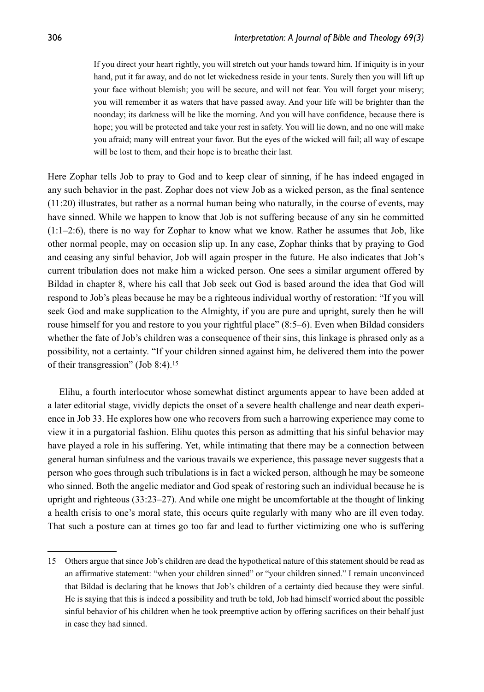If you direct your heart rightly, you will stretch out your hands toward him. If iniquity is in your hand, put it far away, and do not let wickedness reside in your tents. Surely then you will lift up your face without blemish; you will be secure, and will not fear. You will forget your misery; you will remember it as waters that have passed away. And your life will be brighter than the noonday; its darkness will be like the morning. And you will have confidence, because there is hope; you will be protected and take your rest in safety. You will lie down, and no one will make you afraid; many will entreat your favor. But the eyes of the wicked will fail; all way of escape will be lost to them, and their hope is to breathe their last.

Here Zophar tells Job to pray to God and to keep clear of sinning, if he has indeed engaged in any such behavior in the past. Zophar does not view Job as a wicked person, as the final sentence (11:20) illustrates, but rather as a normal human being who naturally, in the course of events, may have sinned. While we happen to know that Job is not suffering because of any sin he committed  $(1:1-2:6)$ , there is no way for Zophar to know what we know. Rather he assumes that Job, like other normal people, may on occasion slip up. In any case, Zophar thinks that by praying to God and ceasing any sinful behavior, Job will again prosper in the future. He also indicates that Job's current tribulation does not make him a wicked person. One sees a similar argument offered by Bildad in chapter 8, where his call that Job seek out God is based around the idea that God will respond to Job's pleas because he may be a righteous individual worthy of restoration: "If you will seek God and make supplication to the Almighty, if you are pure and upright, surely then he will rouse himself for you and restore to you your rightful place" (8:5–6). Even when Bildad considers whether the fate of Job's children was a consequence of their sins, this linkage is phrased only as a possibility, not a certainty. "If your children sinned against him, he delivered them into the power of their transgression" (Job 8:4).15

Elihu, a fourth interlocutor whose somewhat distinct arguments appear to have been added at a later editorial stage, vividly depicts the onset of a severe health challenge and near death experience in Job 33. He explores how one who recovers from such a harrowing experience may come to view it in a purgatorial fashion. Elihu quotes this person as admitting that his sinful behavior may have played a role in his suffering. Yet, while intimating that there may be a connection between general human sinfulness and the various travails we experience, this passage never suggests that a person who goes through such tribulations is in fact a wicked person, although he may be someone who sinned. Both the angelic mediator and God speak of restoring such an individual because he is upright and righteous (33:23–27). And while one might be uncomfortable at the thought of linking a health crisis to one's moral state, this occurs quite regularly with many who are ill even today. That such a posture can at times go too far and lead to further victimizing one who is suffering

<sup>15</sup> Others argue that since Job's children are dead the hypothetical nature of this statement should be read as an affirmative statement: "when your children sinned" or "your children sinned." I remain unconvinced that Bildad is declaring that he knows that Job's children of a certainty died because they were sinful. He is saying that this is indeed a possibility and truth be told, Job had himself worried about the possible sinful behavior of his children when he took preemptive action by offering sacrifices on their behalf just in case they had sinned.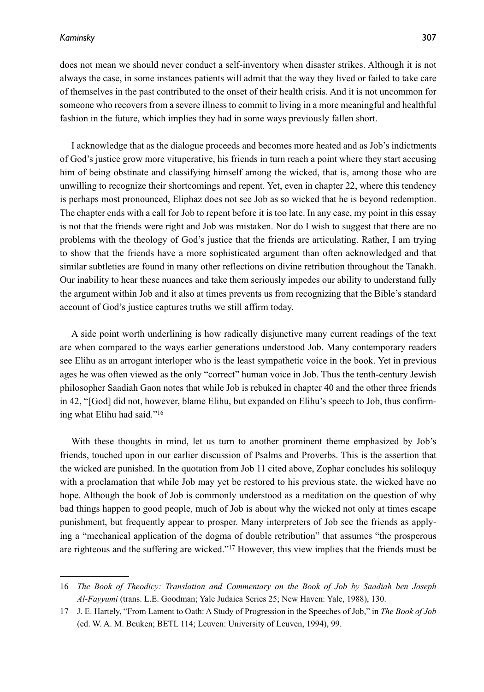does not mean we should never conduct a self-inventory when disaster strikes. Although it is not always the case, in some instances patients will admit that the way they lived or failed to take care of themselves in the past contributed to the onset of their health crisis. And it is not uncommon for someone who recovers from a severe illness to commit to living in a more meaningful and healthful fashion in the future, which implies they had in some ways previously fallen short.

I acknowledge that as the dialogue proceeds and becomes more heated and as Job's indictments of God's justice grow more vituperative, his friends in turn reach a point where they start accusing him of being obstinate and classifying himself among the wicked, that is, among those who are unwilling to recognize their shortcomings and repent. Yet, even in chapter 22, where this tendency is perhaps most pronounced, Eliphaz does not see Job as so wicked that he is beyond redemption. The chapter ends with a call for Job to repent before it is too late. In any case, my point in this essay is not that the friends were right and Job was mistaken. Nor do I wish to suggest that there are no problems with the theology of God's justice that the friends are articulating. Rather, I am trying to show that the friends have a more sophisticated argument than often acknowledged and that similar subtleties are found in many other reflections on divine retribution throughout the Tanakh. Our inability to hear these nuances and take them seriously impedes our ability to understand fully the argument within Job and it also at times prevents us from recognizing that the Bible's standard account of God's justice captures truths we still affirm today.

A side point worth underlining is how radically disjunctive many current readings of the text are when compared to the ways earlier generations understood Job. Many contemporary readers see Elihu as an arrogant interloper who is the least sympathetic voice in the book. Yet in previous ages he was often viewed as the only "correct" human voice in Job. Thus the tenth-century Jewish philosopher Saadiah Gaon notes that while Job is rebuked in chapter 40 and the other three friends in 42, "[God] did not, however, blame Elihu, but expanded on Elihu's speech to Job, thus confirming what Elihu had said."16

With these thoughts in mind, let us turn to another prominent theme emphasized by Job's friends, touched upon in our earlier discussion of Psalms and Proverbs. This is the assertion that the wicked are punished. In the quotation from Job 11 cited above, Zophar concludes his soliloquy with a proclamation that while Job may yet be restored to his previous state, the wicked have no hope. Although the book of Job is commonly understood as a meditation on the question of why bad things happen to good people, much of Job is about why the wicked not only at times escape punishment, but frequently appear to prosper. Many interpreters of Job see the friends as applying a "mechanical application of the dogma of double retribution" that assumes "the prosperous are righteous and the suffering are wicked."17 However, this view implies that the friends must be

<sup>16</sup> *The Book of Theodicy: Translation and Commentary on the Book of Job by Saadiah ben Joseph Al-Fayyumi* (trans. L.E. Goodman; Yale Judaica Series 25; New Haven: Yale, 1988), 130.

<sup>17</sup> J. E. Hartely, "From Lament to Oath: A Study of Progression in the Speeches of Job," in *The Book of Job* (ed. W. A. M. Beuken; BETL 114; Leuven: University of Leuven, 1994), 99.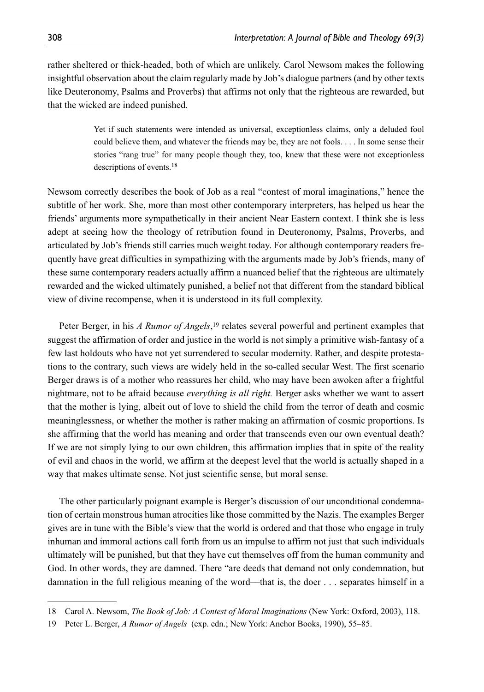rather sheltered or thick-headed, both of which are unlikely. Carol Newsom makes the following insightful observation about the claim regularly made by Job's dialogue partners (and by other texts like Deuteronomy, Psalms and Proverbs) that affirms not only that the righteous are rewarded, but that the wicked are indeed punished.

> Yet if such statements were intended as universal, exceptionless claims, only a deluded fool could believe them, and whatever the friends may be, they are not fools. . . . In some sense their stories "rang true" for many people though they, too, knew that these were not exceptionless descriptions of events.18

Newsom correctly describes the book of Job as a real "contest of moral imaginations," hence the subtitle of her work. She, more than most other contemporary interpreters, has helped us hear the friends' arguments more sympathetically in their ancient Near Eastern context. I think she is less adept at seeing how the theology of retribution found in Deuteronomy, Psalms, Proverbs, and articulated by Job's friends still carries much weight today. For although contemporary readers frequently have great difficulties in sympathizing with the arguments made by Job's friends, many of these same contemporary readers actually affirm a nuanced belief that the righteous are ultimately rewarded and the wicked ultimately punished, a belief not that different from the standard biblical view of divine recompense, when it is understood in its full complexity.

Peter Berger, in his *A Rumor of Angels*,<sup>19</sup> relates several powerful and pertinent examples that suggest the affirmation of order and justice in the world is not simply a primitive wish-fantasy of a few last holdouts who have not yet surrendered to secular modernity. Rather, and despite protestations to the contrary, such views are widely held in the so-called secular West. The first scenario Berger draws is of a mother who reassures her child, who may have been awoken after a frightful nightmare, not to be afraid because *everything is all right.* Berger asks whether we want to assert that the mother is lying, albeit out of love to shield the child from the terror of death and cosmic meaninglessness, or whether the mother is rather making an affirmation of cosmic proportions. Is she affirming that the world has meaning and order that transcends even our own eventual death? If we are not simply lying to our own children, this affirmation implies that in spite of the reality of evil and chaos in the world, we affirm at the deepest level that the world is actually shaped in a way that makes ultimate sense. Not just scientific sense, but moral sense.

The other particularly poignant example is Berger's discussion of our unconditional condemnation of certain monstrous human atrocities like those committed by the Nazis. The examples Berger gives are in tune with the Bible's view that the world is ordered and that those who engage in truly inhuman and immoral actions call forth from us an impulse to affirm not just that such individuals ultimately will be punished, but that they have cut themselves off from the human community and God. In other words, they are damned. There "are deeds that demand not only condemnation, but damnation in the full religious meaning of the word––that is, the doer . . . separates himself in a

<sup>18</sup> Carol A. Newsom, *The Book of Job: A Contest of Moral Imaginations* (New York: Oxford, 2003), 118.

<sup>19</sup> Peter L. Berger, *A Rumor of Angels* (exp. edn.; New York: Anchor Books, 1990), 55–85.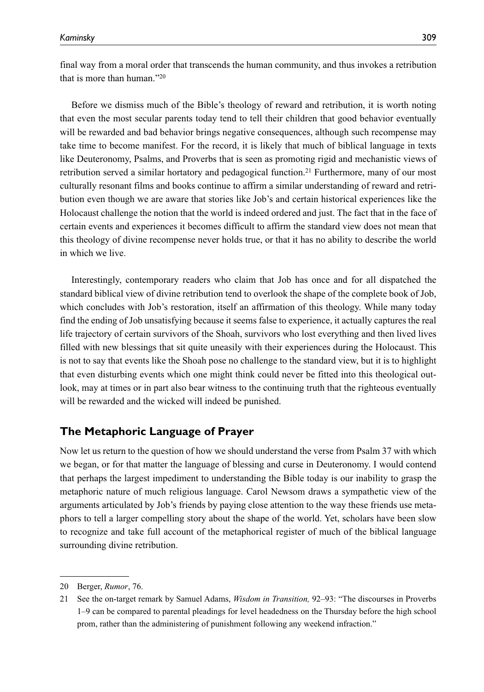final way from a moral order that transcends the human community, and thus invokes a retribution that is more than human."20

Before we dismiss much of the Bible's theology of reward and retribution, it is worth noting that even the most secular parents today tend to tell their children that good behavior eventually will be rewarded and bad behavior brings negative consequences, although such recompense may take time to become manifest. For the record, it is likely that much of biblical language in texts like Deuteronomy, Psalms, and Proverbs that is seen as promoting rigid and mechanistic views of retribution served a similar hortatory and pedagogical function.<sup>21</sup> Furthermore, many of our most culturally resonant films and books continue to affirm a similar understanding of reward and retribution even though we are aware that stories like Job's and certain historical experiences like the Holocaust challenge the notion that the world is indeed ordered and just. The fact that in the face of certain events and experiences it becomes difficult to affirm the standard view does not mean that this theology of divine recompense never holds true, or that it has no ability to describe the world in which we live.

Interestingly, contemporary readers who claim that Job has once and for all dispatched the standard biblical view of divine retribution tend to overlook the shape of the complete book of Job, which concludes with Job's restoration, itself an affirmation of this theology. While many today find the ending of Job unsatisfying because it seems false to experience, it actually captures the real life trajectory of certain survivors of the Shoah, survivors who lost everything and then lived lives filled with new blessings that sit quite uneasily with their experiences during the Holocaust. This is not to say that events like the Shoah pose no challenge to the standard view, but it is to highlight that even disturbing events which one might think could never be fitted into this theological outlook, may at times or in part also bear witness to the continuing truth that the righteous eventually will be rewarded and the wicked will indeed be punished.

#### **The Metaphoric Language of Prayer**

Now let us return to the question of how we should understand the verse from Psalm 37 with which we began, or for that matter the language of blessing and curse in Deuteronomy. I would contend that perhaps the largest impediment to understanding the Bible today is our inability to grasp the metaphoric nature of much religious language. Carol Newsom draws a sympathetic view of the arguments articulated by Job's friends by paying close attention to the way these friends use metaphors to tell a larger compelling story about the shape of the world. Yet, scholars have been slow to recognize and take full account of the metaphorical register of much of the biblical language surrounding divine retribution.

<sup>20</sup> Berger, *Rumor*, 76.

<sup>21</sup> See the on-target remark by Samuel Adams, *Wisdom in Transition,* 92–93: "The discourses in Proverbs 1–9 can be compared to parental pleadings for level headedness on the Thursday before the high school prom, rather than the administering of punishment following any weekend infraction."